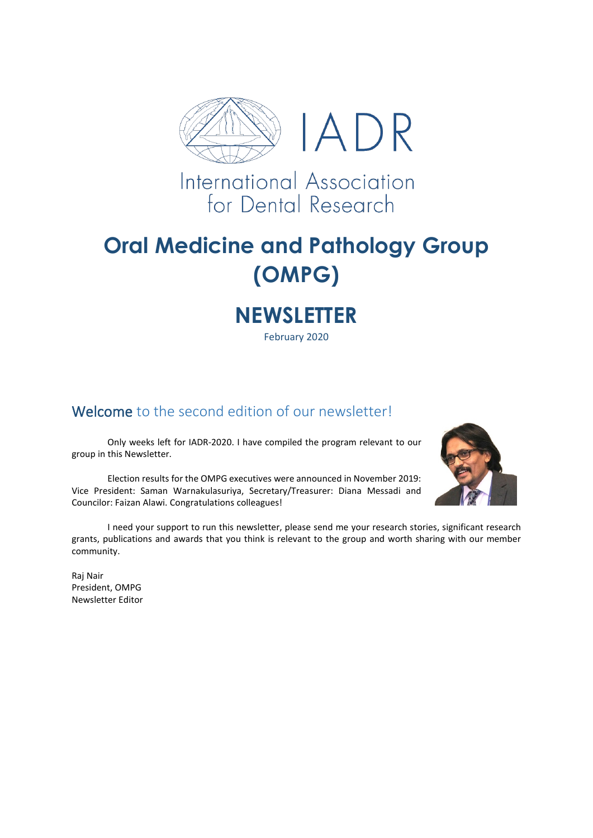

International Association for Dental Research

# **Oral Medicine and Pathology Group (OMPG)**

# **NEWSLETTER**

February 2020

#### Welcome to the second edition of our newsletter!

Only weeks left for IADR-2020. I have compiled the program relevant to our group in this Newsletter.

Election results for the OMPG executives were announced in November 2019: Vice President: Saman Warnakulasuriya, Secretary/Treasurer: Diana Messadi and Councilor: Faizan Alawi. Congratulations colleagues!



I need your support to run this newsletter, please send me your research stories, significant research grants, publications and awards that you think is relevant to the group and worth sharing with our member community.

Raj Nair President, OMPG Newsletter Editor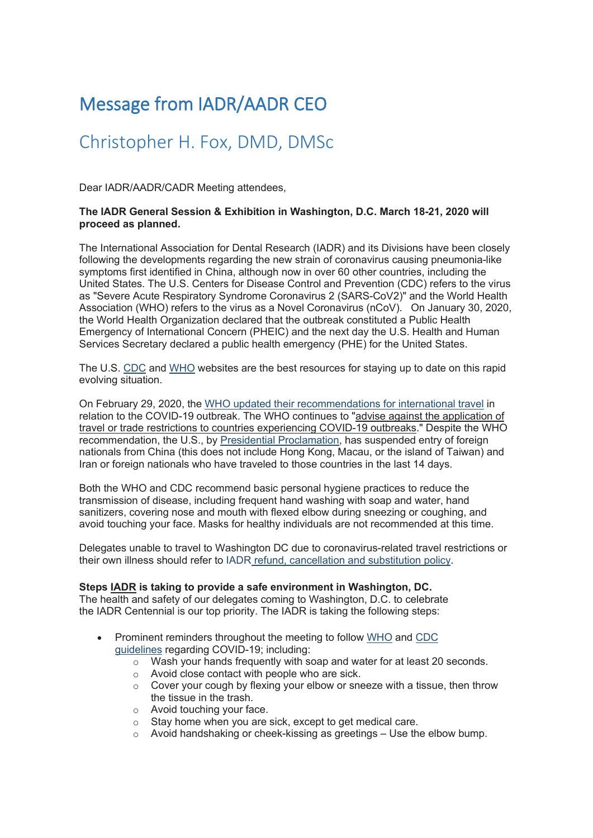## Message from IADR/AADR CEO

### Christopher H. Fox, DMD, DMSc

Dear IADR/AADR/CADR Meeting attendees,

#### **The IADR General Session & Exhibition in Washington, D.C. March 18-21, 2020 will proceed as planned.**

The International Association for Dental Research (IADR) and its Divisions have been closely following the developments regarding the new strain of coronavirus causing pneumonia-like symptoms first identified in China, although now in over 60 other countries, including the United States. The U.S. Centers for Disease Control and Prevention (CDC) refers to the virus as "Severe Acute Respiratory Syndrome Coronavirus 2 (SARS-CoV2)" and the World Health Association (WHO) refers to the virus as a Novel Coronavirus (nCoV). On January 30, 2020, the World Health Organization declared that the outbreak constituted a Public Health Emergency of International Concern (PHEIC) and the next day the U.S. Health and Human Services Secretary declared a public health emergency (PHE) for the United States.

The U.S. [CDC](https://protect-au.mimecast.com/s/H5PBCQnzZNUW7WVnf5LPb7?domain=mmsend2.com) and [WHO](https://protect-au.mimecast.com/s/YqkGCROA2MfLNLYwsrLHi2?domain=mmsend2.com) websites are the best resources for staying up to date on this rapid evolving situation.

On February 29, 2020, the WHO updated their [recommendations](https://protect-au.mimecast.com/s/PnhNCVAGg5fAMABVtO_CDs?domain=mmsend2.com) for international travel in relation to the COVID-19 outbreak. The WHO continues to "advise against the application of travel or trade restrictions to countries experiencing COVID-19 outbreaks." Despite the WHO recommendation, the U.S., by Presidential [Proclamation,](https://protect-au.mimecast.com/s/7hoECWLJkwiB0B31IoY-Th?domain=mmsend2.com) has suspended entry of foreign nationals from China (this does not include Hong Kong, Macau, or the island of Taiwan) and Iran or foreign nationals who have traveled to those countries in the last 14 days.

Both the WHO and CDC recommend basic personal hygiene practices to reduce the transmission of disease, including frequent hand washing with soap and water, hand sanitizers, covering nose and mouth with flexed elbow during sneezing or coughing, and avoid touching your face. Masks for healthy individuals are not recommended at this time.

Delegates unable to travel to Washington DC due to coronavirus-related travel restrictions or their own illness should refer to IADR refund, [cancellation](https://protect-au.mimecast.com/s/3Q7WCXLKm7iYmYAlSGhzh0?domain=mmsend2.com) and substitution policy.

#### **Steps IADR is taking to provide a safe environment in Washington, DC.**

The health and safety of our delegates coming to Washington, D.C. to celebrate the IADR Centennial is our top priority. The IADR is taking the following steps:

- Prominent reminders throughout the meeting to follow [WHO](https://protect-au.mimecast.com/s/YuJHCYWLoQTx5xYKTYcUIn?domain=mmsend2.com) and [CDC](https://protect-au.mimecast.com/s/GTKJCZYMqwSNzNv1h8l11L?domain=mmsend2.com) [guidelines](https://protect-au.mimecast.com/s/GTKJCZYMqwSNzNv1h8l11L?domain=mmsend2.com) regarding COVID-19; including:
	- $\circ$  Wash your hands frequently with soap and water for at least 20 seconds.
	- o Avoid close contact with people who are sick.
	- o Cover your cough by flexing your elbow or sneeze with a tissue, then throw the tissue in the trash.
	- o Avoid touching your face.
	- o Stay home when you are sick, except to get medical care.
	- $\circ$  Avoid handshaking or cheek-kissing as greetings Use the elbow bump.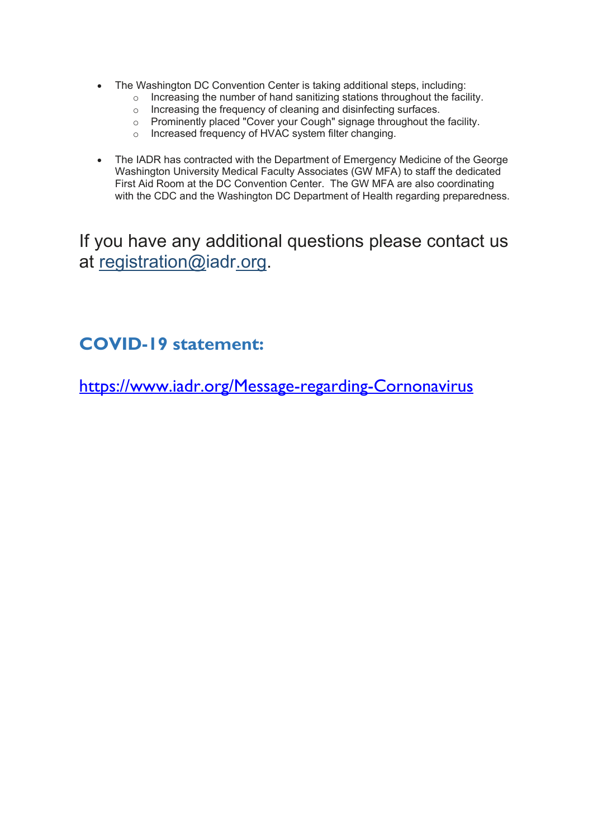- The Washington DC Convention Center is taking additional steps, including:
	- $\circ$  Increasing the number of hand sanitizing stations throughout the facility.
	- o Increasing the frequency of cleaning and disinfecting surfaces.
	- o Prominently placed "Cover your Cough" signage throughout the facility.
	- o Increased frequency of HVAC system filter changing.
- The IADR has contracted with the Department of Emergency Medicine of the George Washington University Medical Faculty Associates (GW MFA) to staff the dedicated First Aid Room at the DC Convention Center. The GW MFA are also coordinating with the CDC and the Washington DC Department of Health regarding preparedness.

If you have any additional questions please contact us at [registration@iadr.org.](mailto:registration@iadr.org)

### **COVID-19 statement:**

[https://www.iadr.org/Message-regarding-Cornonavirus](https://protect-au.mimecast.com/s/KlTzCgZo1xH2D0NDhNDrry?domain=iadr.org)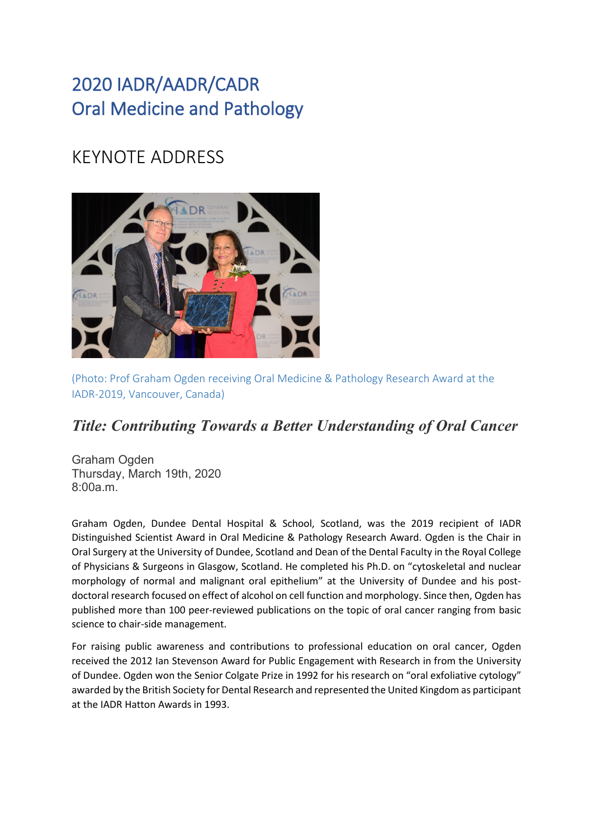## 2020 IADR/AADR/CADR Oral Medicine and Pathology

## KEYNOTE ADDRESS



(Photo: Prof Graham Ogden receiving Oral Medicine & Pathology Research Award at the IADR-2019, Vancouver, Canada)

#### *Title: Contributing Towards a Better Understanding of Oral Cancer*

Graham Ogden Thursday, March 19th, 2020  $8:00a$  m.

Graham Ogden, Dundee Dental Hospital & School, Scotland, was the 2019 recipient of IADR Distinguished Scientist Award in Oral Medicine & Pathology Research Award. Ogden is the Chair in Oral Surgery at the University of Dundee, Scotland and Dean of the Dental Faculty in the Royal College of Physicians & Surgeons in Glasgow, Scotland. He completed his Ph.D. on "cytoskeletal and nuclear morphology of normal and malignant oral epithelium" at the University of Dundee and his postdoctoral research focused on effect of alcohol on cell function and morphology. Since then, Ogden has published more than 100 peer-reviewed publications on the topic of oral cancer ranging from basic science to chair-side management.

For raising public awareness and contributions to professional education on oral cancer, Ogden received the 2012 Ian Stevenson Award for Public Engagement with Research in from the University of Dundee. Ogden won the Senior Colgate Prize in 1992 for his research on "oral exfoliative cytology" awarded by the British Society for Dental Research and represented the United Kingdom as participant at the IADR Hatton Awards in 1993.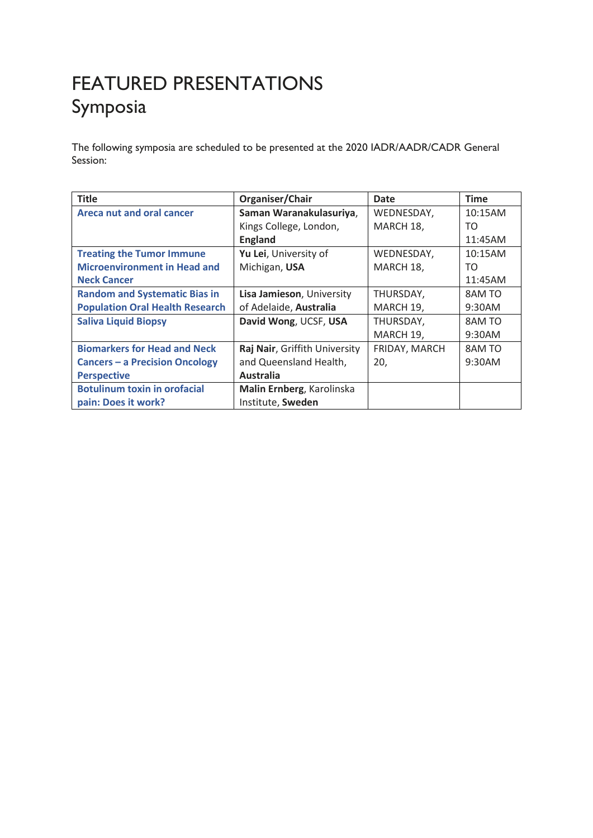## FEATURED PRESENTATIONS Symposia

The following symposia are scheduled to be presented at the 2020 IADR/AADR/CADR General Session:

| <b>Title</b>                           | Organiser/Chair               | Date          | <b>Time</b> |
|----------------------------------------|-------------------------------|---------------|-------------|
| <b>Areca nut and oral cancer</b>       | Saman Waranakulasuriya,       | WEDNESDAY,    | 10:15AM     |
|                                        | Kings College, London,        | MARCH 18,     | TO          |
|                                        | <b>England</b>                |               | 11:45AM     |
| <b>Treating the Tumor Immune</b>       | Yu Lei, University of         | WEDNESDAY,    | 10:15AM     |
| <b>Microenvironment in Head and</b>    | Michigan, USA                 | MARCH 18,     | TO.         |
| <b>Neck Cancer</b>                     |                               |               | 11:45AM     |
| <b>Random and Systematic Bias in</b>   | Lisa Jamieson, University     | THURSDAY,     | 8AM TO      |
| <b>Population Oral Health Research</b> | of Adelaide, Australia        | MARCH 19,     | 9:30AM      |
| <b>Saliva Liquid Biopsy</b>            | David Wong, UCSF, USA         | THURSDAY,     | 8AM TO      |
|                                        |                               | MARCH 19,     | 9:30AM      |
| <b>Biomarkers for Head and Neck</b>    | Raj Nair, Griffith University | FRIDAY, MARCH | 8AM TO      |
| <b>Cancers - a Precision Oncology</b>  | and Queensland Health,        | 20,           | 9:30AM      |
| <b>Perspective</b>                     | <b>Australia</b>              |               |             |
| <b>Botulinum toxin in orofacial</b>    | Malin Ernberg, Karolinska     |               |             |
| pain: Does it work?                    | Institute, Sweden             |               |             |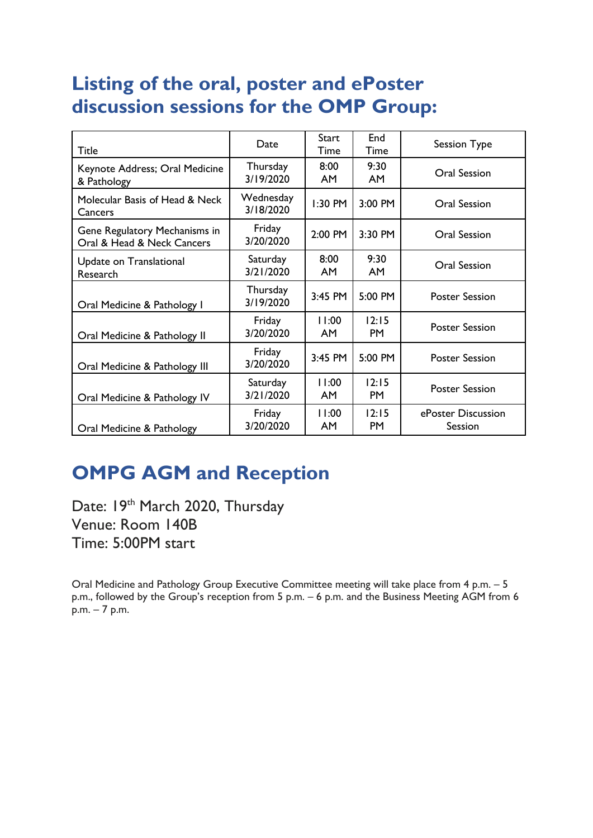## **Listing of the oral, poster and ePoster discussion sessions for the OMP Group:**

| <b>Title</b>                                                | Date                   | <b>Start</b><br>Time | End<br>Time        | Session Type                  |
|-------------------------------------------------------------|------------------------|----------------------|--------------------|-------------------------------|
| Keynote Address; Oral Medicine<br>& Pathology               | Thursday<br>3/19/2020  | 8:00<br>AM.          | 9:30<br>AM         | Oral Session                  |
| Molecular Basis of Head & Neck<br>Cancers                   | Wednesday<br>3/18/2020 | 1:30 PM              | 3:00 PM            | Oral Session                  |
| Gene Regulatory Mechanisms in<br>Oral & Head & Neck Cancers | Friday<br>3/20/2020    | 2:00 PM              | 3:30 PM            | Oral Session                  |
| Update on Translational<br>Research                         | Saturday<br>3/21/2020  | 8:00<br>AM.          | 9:30<br><b>AM</b>  | Oral Session                  |
| Oral Medicine & Pathology I                                 | Thursday<br>3/19/2020  | 3:45 PM              | 5:00 PM            | <b>Poster Session</b>         |
| Oral Medicine & Pathology II                                | Friday<br>3/20/2020    | 11:00<br>AM.         | 12:15<br><b>PM</b> | <b>Poster Session</b>         |
| Oral Medicine & Pathology III                               | Friday<br>3/20/2020    | 3:45 PM              | 5:00 PM            | <b>Poster Session</b>         |
| Oral Medicine & Pathology IV                                | Saturday<br>3/21/2020  | 11:00<br>AM          | 12:15<br><b>PM</b> | <b>Poster Session</b>         |
| Oral Medicine & Pathology                                   | Friday<br>3/20/2020    | 11:00<br>AM          | 12:15<br>PM        | ePoster Discussion<br>Session |

## **OMPG AGM and Reception**

Date: 19th March 2020, Thursday Venue: Room 140B Time: 5:00PM start

Oral Medicine and Pathology Group Executive Committee meeting will take place from 4 p.m. – 5 p.m., followed by the Group's reception from 5 p.m. – 6 p.m. and the Business Meeting AGM from 6 p.m. – 7 p.m.